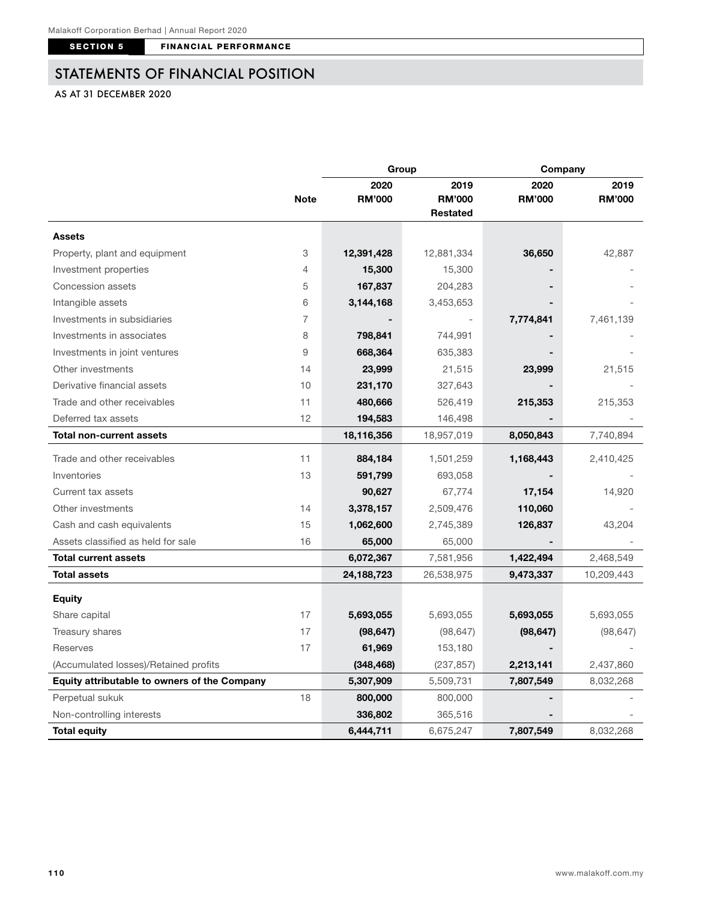SECTION 5 FINANCIAL PERFORMANCE

## STATEMENTS OF FINANCIAL POSITION

## AS AT 31 DECEMBER 2020

|                                              |             | Group         |                 | Company       |               |
|----------------------------------------------|-------------|---------------|-----------------|---------------|---------------|
|                                              |             | 2020          | 2019            | 2020          | 2019          |
|                                              | <b>Note</b> | <b>RM'000</b> | <b>RM'000</b>   | <b>RM'000</b> | <b>RM'000</b> |
|                                              |             |               | <b>Restated</b> |               |               |
| <b>Assets</b>                                |             |               |                 |               |               |
| Property, plant and equipment                | 3           | 12,391,428    | 12,881,334      | 36,650        | 42,887        |
| Investment properties                        | 4           | 15,300        | 15,300          |               |               |
| Concession assets                            | 5           | 167,837       | 204,283         |               |               |
| Intangible assets                            | 6           | 3,144,168     | 3,453,653       |               |               |
| Investments in subsidiaries                  | 7           |               |                 | 7,774,841     | 7,461,139     |
| Investments in associates                    | 8           | 798,841       | 744,991         |               |               |
| Investments in joint ventures                | 9           | 668,364       | 635,383         |               |               |
| Other investments                            | 14          | 23,999        | 21,515          | 23,999        | 21,515        |
| Derivative financial assets                  | 10          | 231,170       | 327,643         |               |               |
| Trade and other receivables                  | 11          | 480,666       | 526,419         | 215,353       | 215,353       |
| Deferred tax assets                          | 12          | 194,583       | 146,498         |               |               |
| <b>Total non-current assets</b>              |             | 18,116,356    | 18,957,019      | 8,050,843     | 7,740,894     |
| Trade and other receivables                  | 11          | 884,184       | 1,501,259       | 1,168,443     | 2,410,425     |
| Inventories                                  | 13          | 591,799       | 693,058         |               |               |
| Current tax assets                           |             | 90,627        | 67,774          | 17,154        | 14,920        |
| Other investments                            | 14          | 3,378,157     | 2,509,476       | 110,060       |               |
| Cash and cash equivalents                    | 15          | 1,062,600     | 2,745,389       | 126,837       | 43,204        |
| Assets classified as held for sale           | 16          | 65,000        | 65,000          |               |               |
| <b>Total current assets</b>                  |             | 6,072,367     | 7,581,956       | 1,422,494     | 2,468,549     |
| <b>Total assets</b>                          |             | 24,188,723    | 26,538,975      | 9,473,337     | 10,209,443    |
| <b>Equity</b>                                |             |               |                 |               |               |
| Share capital                                | 17          | 5,693,055     | 5,693,055       | 5,693,055     | 5,693,055     |
| Treasury shares                              | 17          | (98, 647)     | (98, 647)       | (98, 647)     | (98, 647)     |
| Reserves                                     | 17          | 61,969        | 153,180         |               |               |
| (Accumulated losses)/Retained profits        |             | (348, 468)    | (237, 857)      | 2,213,141     | 2,437,860     |
| Equity attributable to owners of the Company |             | 5,307,909     | 5,509,731       | 7,807,549     | 8,032,268     |
| Perpetual sukuk                              | 18          | 800,000       | 800,000         |               |               |
| Non-controlling interests                    |             | 336,802       | 365,516         |               |               |
| <b>Total equity</b>                          |             | 6,444,711     | 6,675,247       | 7,807,549     | 8,032,268     |